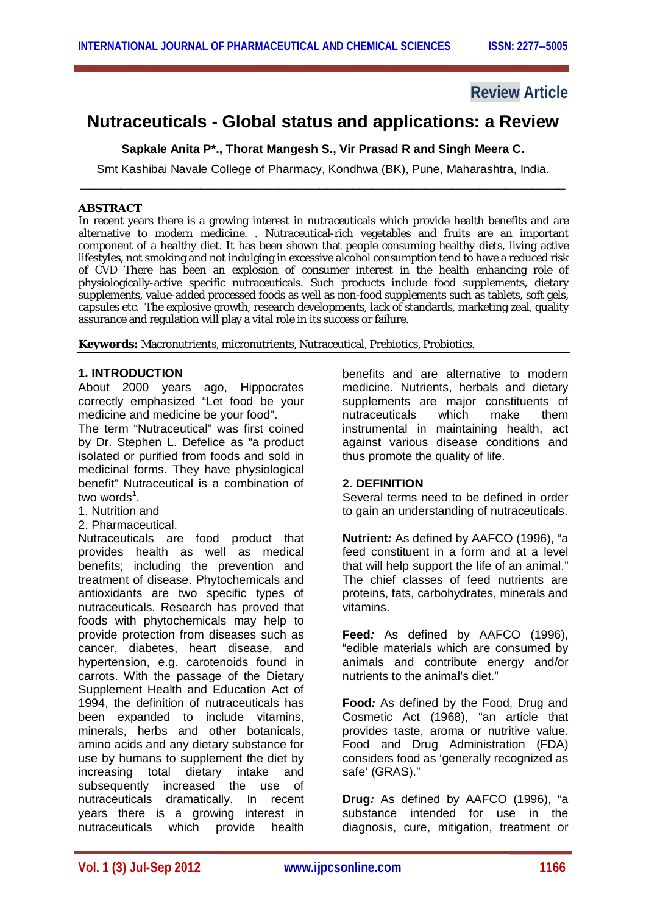# **Review Article**

# **Nutraceuticals - Global status and applications: a Review**

**Sapkale Anita P\*., Thorat Mangesh S., Vir Prasad R and Singh Meera C.**

Smt Kashibai Navale College of Pharmacy, Kondhwa (BK), Pune, Maharashtra, India. \_\_\_\_\_\_\_\_\_\_\_\_\_\_\_\_\_\_\_\_\_\_\_\_\_\_\_\_\_\_\_\_\_\_\_\_\_\_\_\_\_\_\_\_\_\_\_\_\_\_\_\_\_\_\_\_\_\_\_\_\_\_\_\_\_\_\_\_\_\_\_\_\_

### **ABSTRACT**

In recent years there is a growing interest in nutraceuticals which provide health benefits and are alternative to modern medicine. . Nutraceutical-rich vegetables and fruits are an important component of a healthy diet. It has been shown that people consuming healthy diets, living active lifestyles, not smoking and not indulging in excessive alcohol consumption tend to have a reduced risk of CVD There has been an explosion of consumer interest in the health enhancing role of physiologically-active specific nutraceuticals. Such products include food supplements, dietary supplements, value-added processed foods as well as non-food supplements such as tablets, soft gels, capsules etc. The explosive growth, research developments, lack of standards, marketing zeal, quality assurance and regulation will play a vital role in its success or failure.

**Keywords:** Macronutrients, micronutrients, Nutraceutical, Prebiotics, Probiotics.

### **1. INTRODUCTION**

About 2000 years ago, Hippocrates correctly emphasized "Let food be your medicine and medicine be your food".

The term "Nutraceutical" was first coined by Dr. Stephen L. Defelice as "a product isolated or purified from foods and sold in medicinal forms. They have physiological benefit" Nutraceutical is a combination of two words $^1$ .

- 1. Nutrition and
- 2. Pharmaceutical.

Nutraceuticals are food product that provides health as well as medical benefits; including the prevention and treatment of disease. Phytochemicals and antioxidants are two specific types of nutraceuticals. Research has proved that foods with phytochemicals may help to provide protection from diseases such as cancer, diabetes, heart disease, and hypertension, e.g. carotenoids found in carrots. With the passage of the Dietary Supplement Health and Education Act of 1994, the definition of nutraceuticals has been expanded to include vitamins, minerals, herbs and other botanicals, amino acids and any dietary substance for use by humans to supplement the diet by increasing total dietary intake and subsequently increased the use of nutraceuticals dramatically. In recent years there is a growing interest in<br>nutraceuticals which provide health nutraceuticals which provide

benefits and are alternative to modern medicine. Nutrients, herbals and dietary supplements are major constituents of nutraceuticals which make them instrumental in maintaining health, act against various disease conditions and thus promote the quality of life.

### **2. DEFINITION**

Several terms need to be defined in order to gain an understanding of nutraceuticals.

**Nutrient***:* As defined by AAFCO (1996), "a feed constituent in a form and at a level that will help support the life of an animal." The chief classes of feed nutrients are proteins, fats, carbohydrates, minerals and vitamins.

**Feed***:* As defined by AAFCO (1996), "edible materials which are consumed by animals and contribute energy and/or nutrients to the animal's diet."

**Food***:* As defined by the Food, Drug and Cosmetic Act (1968), "an article that provides taste, aroma or nutritive value. Food and Drug Administration (FDA) considers food as 'generally recognized as safe' (GRAS)."

**Drug***:* As defined by AAFCO (1996), "a substance intended for use in the diagnosis, cure, mitigation, treatment or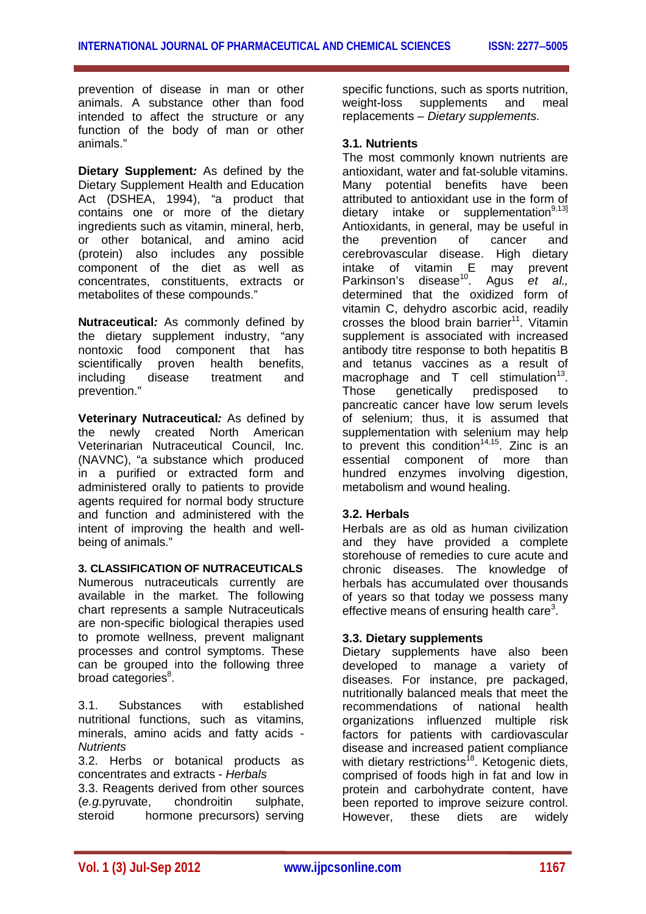prevention of disease in man or other animals. A substance other than food intended to affect the structure or any function of the body of man or other animals."

**Dietary Supplement***:* As defined by the Dietary Supplement Health and Education Act (DSHEA, 1994), "a product that contains one or more of the dietary ingredients such as vitamin, mineral, herb, or other botanical, and amino acid (protein) also includes any possible component of the diet as well as concentrates, constituents, extracts or metabolites of these compounds."

**Nutraceutical***:* As commonly defined by the dietary supplement industry, "any nontoxic food component that has scientifically proven health benefits, including disease treatment and prevention."

**Veterinary Nutraceutical***:* As defined by the newly created North American Veterinarian Nutraceutical Council, Inc. (NAVNC), "a substance which produced in a purified or extracted form and administered orally to patients to provide agents required for normal body structure and function and administered with the intent of improving the health and wellbeing of animals."

#### **3. CLASSIFICATION OF NUTRACEUTICALS**

Numerous nutraceuticals currently are available in the market. The following chart represents a sample Nutraceuticals are non-specific biological therapies used to promote wellness, prevent malignant processes and control symptoms. These can be grouped into the following three broad categories<sup>8</sup>.

3.1. Substances with established nutritional functions, such as vitamins, minerals, amino acids and fatty acids - *Nutrients*

3.2. Herbs or botanical products as concentrates and extracts - *Herbals*

3.3. Reagents derived from other sources (*e.g.*pyruvate, chondroitin sulphate, steroid hormone precursors) serving specific functions, such as sports nutrition, weight-loss supplements and meal replacements – *Dietary supplements*.

#### **3.1. Nutrients**

The most commonly known nutrients are antioxidant, water and fat-soluble vitamins. Many potential benefits have been attributed to antioxidant use in the form of dietary intake or supplementation $9,13]$ Antioxidants, in general, may be useful in the prevention of cancer and cerebrovascular disease. High dietary intake of vitamin E may prevent Parkinson's disease<sup>10</sup>. Agus *et al.*, determined that the oxidized form of vitamin C, dehydro ascorbic acid, readily crosses the blood brain barrier $11$ . Vitamin supplement is associated with increased antibody titre response to both hepatitis B and tetanus vaccines as a result of macrophage and  $T$  cell stimulation<sup>13</sup>. Those genetically predisposed to pancreatic cancer have low serum levels of selenium; thus, it is assumed that supplementation with selenium may help to prevent this condition<sup>14,15</sup>. Zinc is an essential component of more than hundred enzymes involving digestion, metabolism and wound healing.

#### **3.2. Herbals**

Herbals are as old as human civilization and they have provided a complete storehouse of remedies to cure acute and chronic diseases. The knowledge of herbals has accumulated over thousands of years so that today we possess many effective means of ensuring health care<sup>3</sup>.

#### **3.3. Dietary supplements**

Dietary supplements have also been developed to manage a variety of diseases. For instance, pre packaged, nutritionally balanced meals that meet the recommendations of national health organizations influenzed multiple risk factors for patients with cardiovascular disease and increased patient compliance with dietary restrictions<sup>18</sup>. Ketogenic diets, comprised of foods high in fat and low in protein and carbohydrate content, have been reported to improve seizure control. However, these diets are widely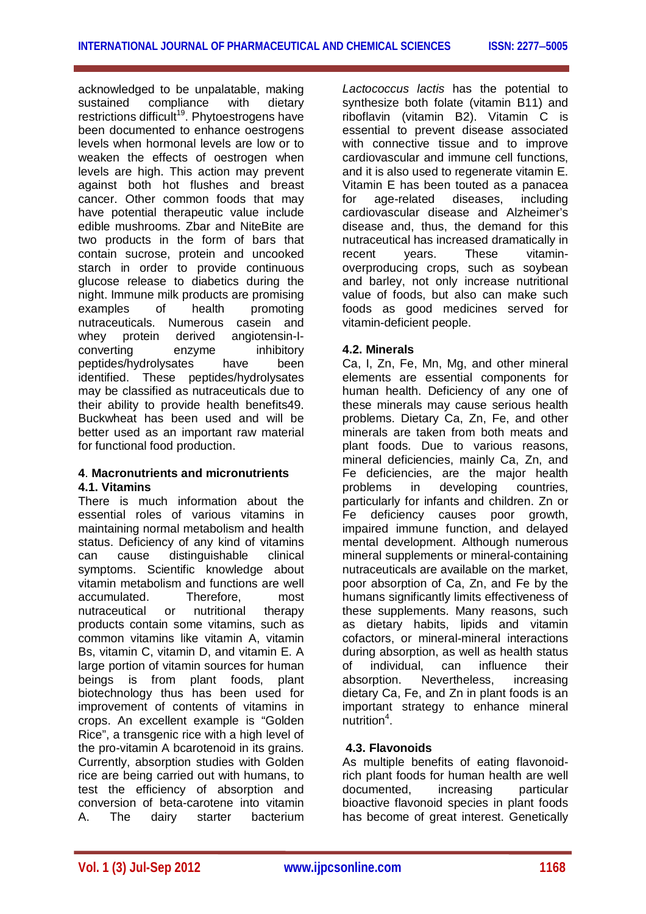acknowledged to be unpalatable, making sustained compliance with dietary restrictions difficult<sup>19</sup>. Phytoestrogens have been documented to enhance oestrogens levels when hormonal levels are low or to weaken the effects of oestrogen when levels are high. This action may prevent against both hot flushes and breast cancer. Other common foods that may have potential therapeutic value include edible mushrooms. Zbar and NiteBite are two products in the form of bars that contain sucrose, protein and uncooked starch in order to provide continuous glucose release to diabetics during the night. Immune milk products are promising examples of health promoting nutraceuticals. Numerous casein and<br>whev protein derived angiotensin-lprotein derived angiotensin-Iconverting enzyme inhibitory peptides/hydrolysates have been identified. These peptides/hydrolysates may be classified as nutraceuticals due to their ability to provide health benefits49. Buckwheat has been used and will be better used as an important raw material for functional food production.

### **4**. **Macronutrients and micronutrients 4.1. Vitamins**

There is much information about the essential roles of various vitamins in maintaining normal metabolism and health status. Deficiency of any kind of vitamins can cause distinguishable clinical symptoms. Scientific knowledge about vitamin metabolism and functions are well accumulated. Therefore, most<br>nutraceutical or nutritional therapy nutraceutical or nutritional therapy products contain some vitamins, such as common vitamins like vitamin A, vitamin Bs, vitamin C, vitamin D, and vitamin E. A large portion of vitamin sources for human beings is from plant foods, plant biotechnology thus has been used for improvement of contents of vitamins in crops. An excellent example is "Golden Rice", a transgenic rice with a high level of the pro-vitamin A bcarotenoid in its grains. Currently, absorption studies with Golden rice are being carried out with humans, to test the efficiency of absorption and conversion of beta-carotene into vitamin A. The dairy starter bacterium

*Lactococcus lactis* has the potential to synthesize both folate (vitamin B11) and riboflavin (vitamin B2). Vitamin C is essential to prevent disease associated with connective tissue and to improve cardiovascular and immune cell functions, and it is also used to regenerate vitamin E. Vitamin E has been touted as a panacea for age-related diseases, including cardiovascular disease and Alzheimer's disease and, thus, the demand for this nutraceutical has increased dramatically in recent years. These vitaminoverproducing crops, such as soybean and barley, not only increase nutritional value of foods, but also can make such foods as good medicines served for vitamin-deficient people.

## **4.2. Minerals**

Ca, I, Zn, Fe, Mn, Mg, and other mineral elements are essential components for human health. Deficiency of any one of these minerals may cause serious health problems. Dietary Ca, Zn, Fe, and other minerals are taken from both meats and plant foods. Due to various reasons, mineral deficiencies, mainly Ca, Zn, and Fe deficiencies, are the major health problems in developing countries, particularly for infants and children. Zn or Fe deficiency causes poor growth, impaired immune function, and delayed mental development. Although numerous mineral supplements or mineral-containing nutraceuticals are available on the market, poor absorption of Ca, Zn, and Fe by the humans significantly limits effectiveness of these supplements. Many reasons, such as dietary habits, lipids and vitamin cofactors, or mineral-mineral interactions during absorption, as well as health status<br>of individual. can influence their of individual, can influence their absorption. Nevertheless, increasing dietary Ca, Fe, and Zn in plant foods is an important strategy to enhance mineral nutrition<sup>4</sup>.

## **4.3. Flavonoids**

As multiple benefits of eating flavonoidrich plant foods for human health are well documented, increasing particular bioactive flavonoid species in plant foods has become of great interest. Genetically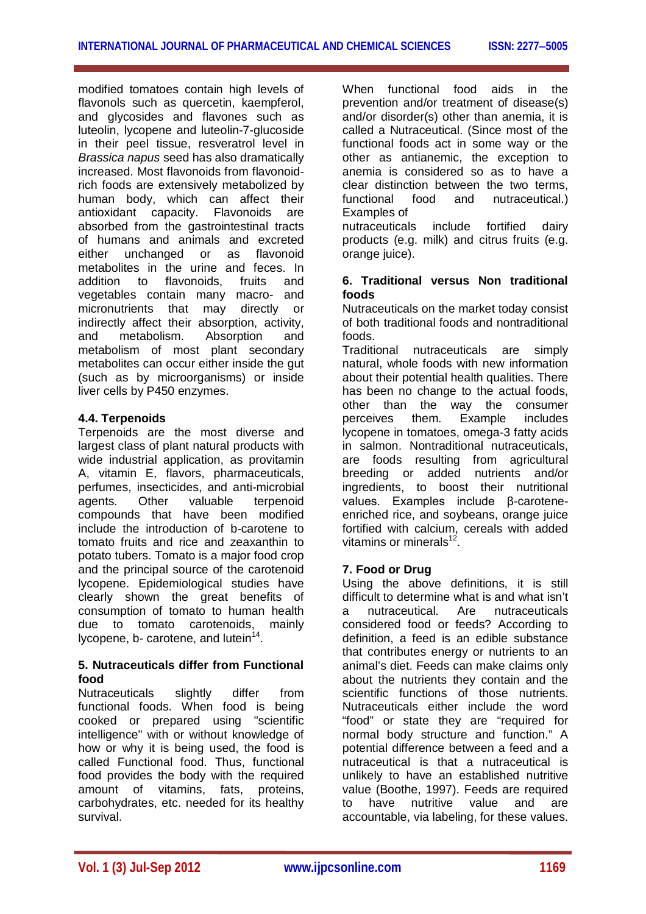modified tomatoes contain high levels of flavonols such as quercetin, kaempferol, and glycosides and flavones such as luteolin, lycopene and luteolin-7-glucoside in their peel tissue, resveratrol level in *Brassica napus* seed has also dramatically increased. Most flavonoids from flavonoidrich foods are extensively metabolized by human body, which can affect their antioxidant capacity. Flavonoids are absorbed from the gastrointestinal tracts of humans and animals and excreted either unchanged or as flavonoid metabolites in the urine and feces. In addition to flavonoids, fruits and vegetables contain many macro- and micronutrients that may directly or indirectly affect their absorption, activity, and metabolism. Absorption and metabolism of most plant secondary metabolites can occur either inside the gut (such as by microorganisms) or inside liver cells by P450 enzymes.

## **4.4. Terpenoids**

Terpenoids are the most diverse and largest class of plant natural products with wide industrial application, as provitamin A, vitamin E, flavors, pharmaceuticals, perfumes, insecticides, and anti-microbial agents. Other valuable terpenoid compounds that have been modified include the introduction of b-carotene to tomato fruits and rice and zeaxanthin to potato tubers. Tomato is a major food crop and the principal source of the carotenoid lycopene. Epidemiological studies have clearly shown the great benefits of consumption of tomato to human health due to tomato carotenoids, mainly lycopene, b- carotene, and lutein $^{14}$ .

### **5. Nutraceuticals differ from Functional food**

Nutraceuticals slightly differ from functional foods. When food is being cooked or prepared using "scientific intelligence" with or without knowledge of how or why it is being used, the food is called Functional food. Thus, functional food provides the body with the required amount of vitamins, fats, proteins, carbohydrates, etc. needed for its healthy survival.

When functional food aids in the prevention and/or treatment of disease(s) and/or disorder(s) other than anemia, it is called a Nutraceutical. (Since most of the functional foods act in some way or the other as antianemic, the exception to anemia is considered so as to have a clear distinction between the two terms, functional food and nutraceutical.) Examples of

nutraceuticals include fortified dairy products (e.g. milk) and citrus fruits (e.g. orange juice).

## **6. Traditional versus Non traditional foods**

Nutraceuticals on the market today consist of both traditional foods and nontraditional foods.

Traditional nutraceuticals are simply natural, whole foods with new information about their potential health qualities. There has been no change to the actual foods, other than the way the consumer perceives them. Example includes lycopene in tomatoes, omega-3 fatty acids in salmon. Nontraditional nutraceuticals, are foods resulting from agricultural breeding or added nutrients and/or ingredients, to boost their nutritional values. Examples include β-caroteneenriched rice, and soybeans, orange juice fortified with calcium, cereals with added vitamins or minerals<sup>12</sup>.

## **7. Food or Drug**

Using the above definitions, it is still difficult to determine what is and what isn't<br>a nutraceutical. Are nutraceuticals a nutraceutical. Are nutraceuticals considered food or feeds? According to definition, a feed is an edible substance that contributes energy or nutrients to an animal's diet. Feeds can make claims only about the nutrients they contain and the scientific functions of those nutrients. Nutraceuticals either include the word "food" or state they are "required for normal body structure and function." A potential difference between a feed and a nutraceutical is that a nutraceutical is unlikely to have an established nutritive value (Boothe, 1997). Feeds are required to have nutritive value and are accountable, via labeling, for these values.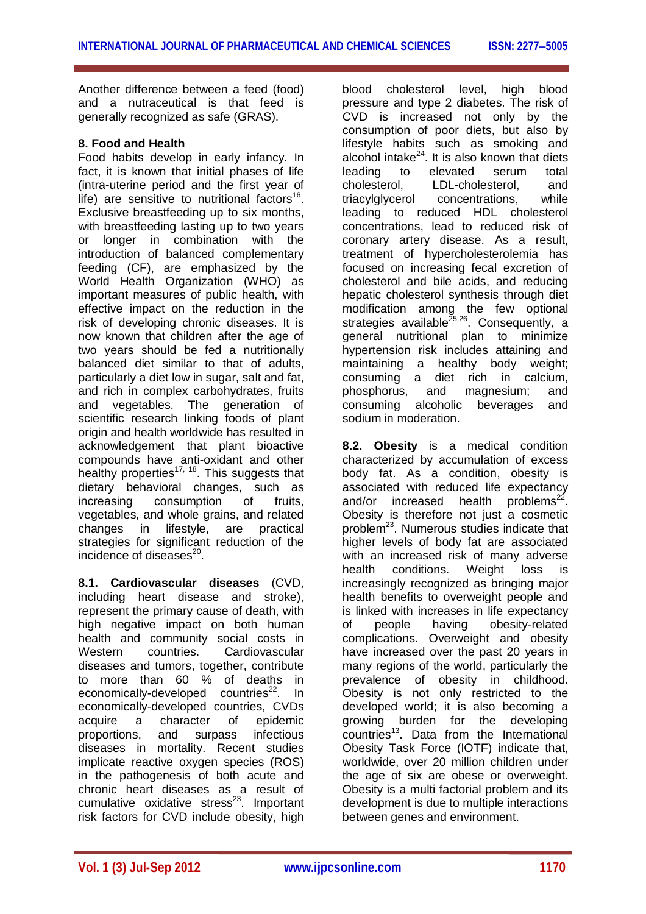Another difference between a feed (food) and a nutraceutical is that feed is generally recognized as safe (GRAS).

## **8. Food and Health**

Food habits develop in early infancy. In fact, it is known that initial phases of life (intra-uterine period and the first year of life) are sensitive to nutritional factors<sup>16</sup>. Exclusive breastfeeding up to six months, with breastfeeding lasting up to two years or longer in combination with the introduction of balanced complementary feeding (CF), are emphasized by the World Health Organization (WHO) as important measures of public health, with effective impact on the reduction in the risk of developing chronic diseases. It is now known that children after the age of two years should be fed a nutritionally balanced diet similar to that of adults, particularly a diet low in sugar, salt and fat, and rich in complex carbohydrates, fruits and vegetables. The generation of scientific research linking foods of plant origin and health worldwide has resulted in acknowledgement that plant bioactive compounds have anti-oxidant and other healthy properties<sup>17, 18</sup>. This suggests that dietary behavioral changes, such as increasing consumption of fruits, vegetables, and whole grains, and related changes in lifestyle, are practical strategies for significant reduction of the incidence of diseases<sup>20</sup>.

**8.1. Cardiovascular diseases** (CVD, including heart disease and stroke), represent the primary cause of death, with high negative impact on both human health and community social costs in Western countries. Cardiovascular diseases and tumors, together, contribute to more than 60 % of deaths in economically-developed countries $^{22}$ . In economically-developed countries, CVDs acquire a character of epidemic proportions, and surpass infectious diseases in mortality. Recent studies implicate reactive oxygen species (ROS) in the pathogenesis of both acute and chronic heart diseases as a result of cumulative oxidative stress<sup>23</sup>. Important risk factors for CVD include obesity, high blood cholesterol level, high blood pressure and type 2 diabetes. The risk of CVD is increased not only by the consumption of poor diets, but also by lifestyle habits such as smoking and alcohol intake $^{24}$ . It is also known that diets leading to elevated serum total<br>cholesterol. LDL-cholesterol. and LDL-cholesterol, triacylglycerol concentrations, while leading to reduced HDL cholesterol concentrations, lead to reduced risk of coronary artery disease. As a result, treatment of hypercholesterolemia has focused on increasing fecal excretion of cholesterol and bile acids, and reducing hepatic cholesterol synthesis through diet modification among the few optional strategies available<sup>25,26</sup>. Consequently, a general nutritional plan to minimize hypertension risk includes attaining and maintaining a healthy body weight; consuming a diet rich in calcium, phosphorus, and magnesium; and consuming alcoholic beverages and sodium in moderation.

**8.2. Obesity** is a medical condition characterized by accumulation of excess body fat. As a condition, obesity is associated with reduced life expectancy and/or increased health problems $^{22}$ . Obesity is therefore not just a cosmetic problem<sup>23</sup>. Numerous studies indicate that higher levels of body fat are associated with an increased risk of many adverse health conditions. Weight loss is increasingly recognized as bringing major health benefits to overweight people and is linked with increases in life expectancy of people having obesity-related complications. Overweight and obesity have increased over the past 20 years in many regions of the world, particularly the prevalence of obesity in childhood. Obesity is not only restricted to the developed world; it is also becoming a growing burden for the developing countries<sup>13</sup>. Data from the International Obesity Task Force (IOTF) indicate that, worldwide, over 20 million children under the age of six are obese or overweight. Obesity is a multi factorial problem and its development is due to multiple interactions between genes and environment.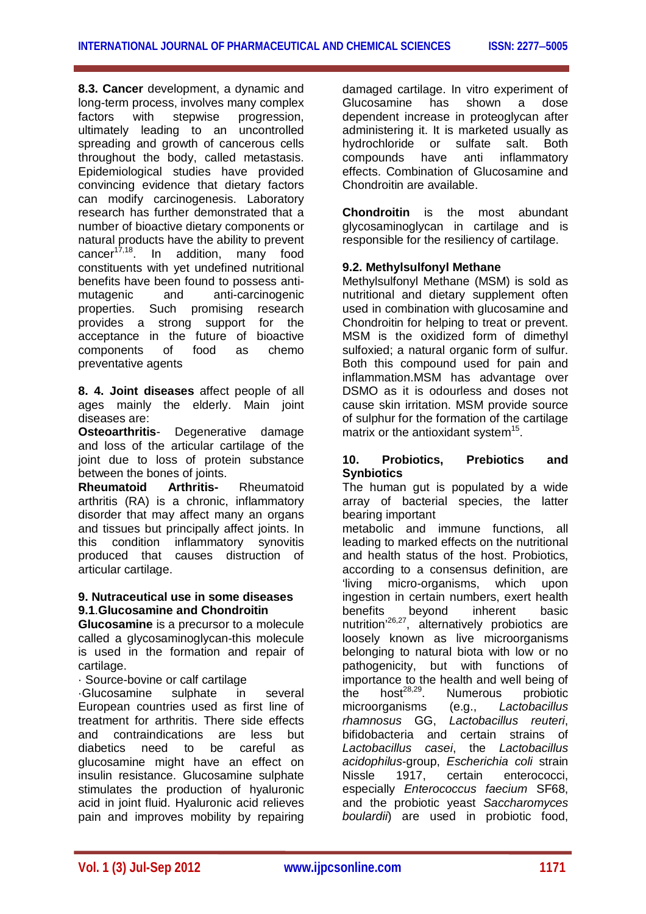**8.3. Cancer** development, a dynamic and long-term process, involves many complex factors with stepwise progression. ultimately leading to an uncontrolled spreading and growth of cancerous cells throughout the body, called metastasis. Epidemiological studies have provided convincing evidence that dietary factors can modify carcinogenesis. Laboratory research has further demonstrated that a number of bioactive dietary components or natural products have the ability to prevent cancer<sup>17,18</sup>. In addition, many food constituents with yet undefined nutritional benefits have been found to possess antimutagenic and anti-carcinogenic properties. Such promising research provides a strong support for the acceptance in the future of bioactive components of food as chemo preventative agents

**8. 4. Joint diseases** affect people of all ages mainly the elderly. Main joint diseases are:

**Osteoarthritis**- Degenerative damage and loss of the articular cartilage of the joint due to loss of protein substance between the bones of joints.<br>Rheumatoid Arthritis-

**Rheumatoid Arthritis-** Rheumatoid arthritis (RA) is a chronic, inflammatory disorder that may affect many an organs and tissues but principally affect joints. In this condition inflammatory synovitis produced that causes distruction of articular cartilage.

#### **9. Nutraceutical use in some diseases 9.1**.**Glucosamine and Chondroitin**

**Glucosamine** is a precursor to a molecule called a glycosaminoglycan-this molecule is used in the formation and repair of cartilage.

· Source-bovine or calf cartilage

·Glucosamine sulphate in several European countries used as first line of treatment for arthritis. There side effects and contraindications are less but diabetics need to be careful as glucosamine might have an effect on insulin resistance. Glucosamine sulphate stimulates the production of hyaluronic acid in joint fluid. Hyaluronic acid relieves pain and improves mobility by repairing damaged cartilage. In vitro experiment of Glucosamine has shown a dose dependent increase in proteoglycan after administering it. It is marketed usually as hydrochloride or sulfate salt. Both compounds have anti inflammatory effects. Combination of Glucosamine and Chondroitin are available.

**Chondroitin** is the most abundant glycosaminoglycan in cartilage and is responsible for the resiliency of cartilage.

## **9.2. Methylsulfonyl Methane**

Methylsulfonyl Methane (MSM) is sold as nutritional and dietary supplement often used in combination with glucosamine and Chondroitin for helping to treat or prevent. MSM is the oxidized form of dimethyl sulfoxied; a natural organic form of sulfur. Both this compound used for pain and inflammation.MSM has advantage over DSMO as it is odourless and doses not cause skin irritation. MSM provide source of sulphur for the formation of the cartilage matrix or the antioxidant system<sup>15</sup>.

#### **10. Probiotics, Prebiotics and Synbiotics**

The human gut is populated by a wide array of bacterial species, the latter bearing important

metabolic and immune functions, all leading to marked effects on the nutritional and health status of the host. Probiotics, according to a consensus definition, are 'living micro-organisms, which upon ingestion in certain numbers, exert health<br>benefits beyond inherent basic benefits beyond inherent basic nutrition<sup>'26,27</sup>, alternatively probiotics are loosely known as live microorganisms belonging to natural biota with low or no pathogenicity, but with functions of importance to the health and well being of the host $^{28,29}$ Numerous probiotic microorganisms (e.g., *Lactobacillus rhamnosus* GG, *Lactobacillus reuteri*, bifidobacteria and certain strains of *Lactobacillus casei*, the *Lactobacillus acidophilus*-group, *Escherichia coli* strain Nissle 1917, certain enterococci, especially *Enterococcus faecium* SF68, and the probiotic yeast *Saccharomyces boulardii*) are used in probiotic food,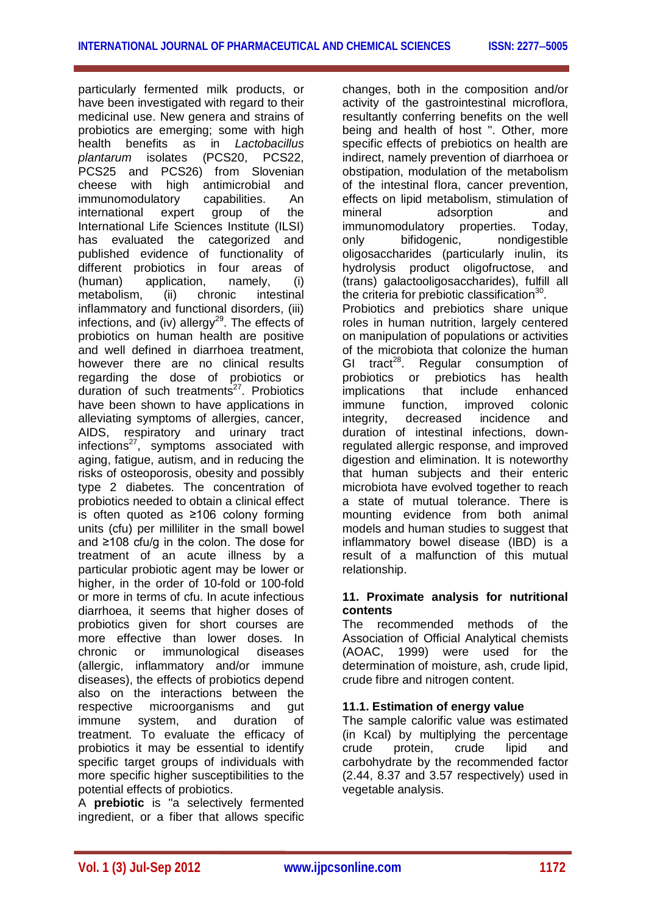particularly fermented milk products, or have been investigated with regard to their medicinal use. New genera and strains of probiotics are emerging; some with high health benefits as in *Lactobacillus plantarum* isolates (PCS20, PCS22, PCS25 and PCS26) from Slovenian cheese with high antimicrobial and immunomodulatory capabilities. An international expert group of the International Life Sciences Institute (ILSI) has evaluated the categorized and published evidence of functionality of different probiotics in four areas of<br>(human) application, namely, (i) (human) application, namely, (i) metabolism, (ii) chronic intestinal inflammatory and functional disorders, (iii) infections, and (iv) allergy $^{29}$ . The effects of probiotics on human health are positive and well defined in diarrhoea treatment, however there are no clinical results regarding the dose of probiotics or duration of such treatments<sup>27</sup>. Probiotics have been shown to have applications in alleviating symptoms of allergies, cancer, AIDS, respiratory and urinary tract infections<sup>27</sup>, symptoms associated with aging, fatigue, autism, and in reducing the risks of osteoporosis, obesity and possibly type 2 diabetes. The concentration of probiotics needed to obtain a clinical effect is often quoted as ≥106 colony forming units (cfu) per milliliter in the small bowel and ≥108 cfu/g in the colon. The dose for treatment of an acute illness by a particular probiotic agent may be lower or higher, in the order of 10-fold or 100-fold or more in terms of cfu. In acute infectious diarrhoea, it seems that higher doses of probiotics given for short courses are more effective than lower doses. In chronic or immunological diseases (allergic, inflammatory and/or immune diseases), the effects of probiotics depend also on the interactions between the respective microorganisms and gut immune system, and duration of treatment. To evaluate the efficacy of probiotics it may be essential to identify specific target groups of individuals with more specific higher susceptibilities to the potential effects of probiotics.

A **prebiotic** is "a selectively fermented ingredient, or a fiber that allows specific changes, both in the composition and/or activity of the gastrointestinal microflora, resultantly conferring benefits on the well being and health of host ". Other, more specific effects of prebiotics on health are indirect, namely prevention of diarrhoea or obstipation, modulation of the metabolism of the intestinal flora, cancer prevention, effects on lipid metabolism, stimulation of mineral adsorption and immunomodulatory properties. Today, only bifidogenic, nondigestible oligosaccharides (particularly inulin, its hydrolysis product oligofructose, and (trans) galactooligosaccharides), fulfill all the criteria for prebiotic classification $30$ . Probiotics and prebiotics share unique roles in human nutrition, largely centered on manipulation of populations or activities of the microbiota that colonize the human GI tract<sup>28</sup>. Regular consumption of probiotics or prebiotics has health<br>implications that include enhanced implications that include enhanced immune function, improved colonic integrity, decreased incidence and duration of intestinal infections, downregulated allergic response, and improved digestion and elimination. It is noteworthy that human subjects and their enteric microbiota have evolved together to reach a state of mutual tolerance. There is mounting evidence from both animal models and human studies to suggest that inflammatory bowel disease (IBD) is a result of a malfunction of this mutual relationship.

## **11. Proximate analysis for nutritional contents**

The recommended methods of the Association of Official Analytical chemists (AOAC, 1999) were used for the determination of moisture, ash, crude lipid, crude fibre and nitrogen content.

## **11.1. Estimation of energy value**

The sample calorific value was estimated (in Kcal) by multiplying the percentage crude protein, crude lipid and carbohydrate by the recommended factor (2.44, 8.37 and 3.57 respectively) used in vegetable analysis.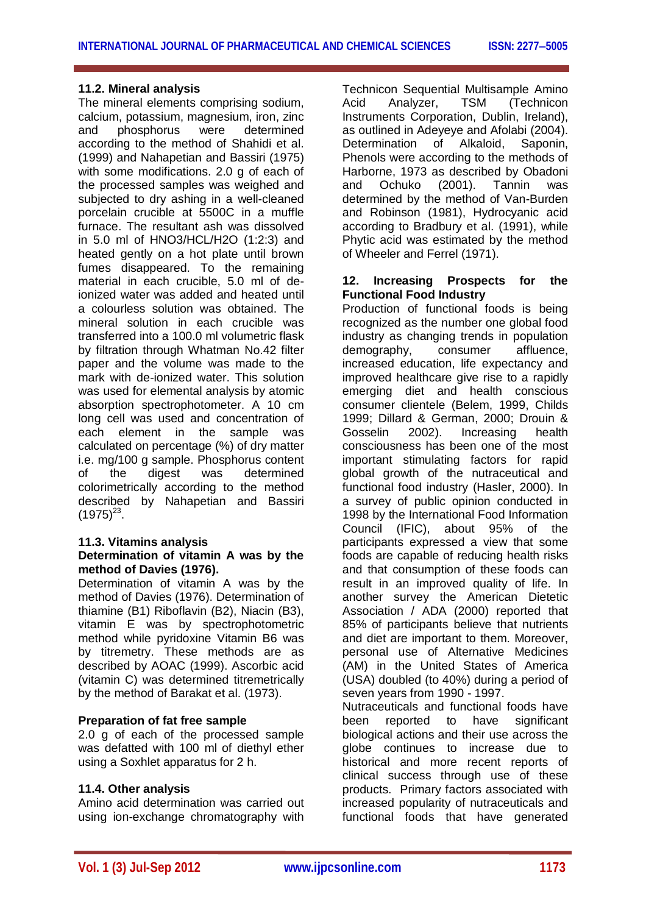#### **11.2. Mineral analysis**

The mineral elements comprising sodium, calcium, potassium, magnesium, iron, zinc and phosphorus were determined according to the method of Shahidi et al. (1999) and Nahapetian and Bassiri (1975) with some modifications. 2.0 g of each of the processed samples was weighed and subjected to dry ashing in a well-cleaned porcelain crucible at 5500C in a muffle furnace. The resultant ash was dissolved in 5.0 ml of HNO3/HCL/H2O (1:2:3) and heated gently on a hot plate until brown fumes disappeared. To the remaining material in each crucible, 5.0 ml of deionized water was added and heated until a colourless solution was obtained. The mineral solution in each crucible was transferred into a 100.0 ml volumetric flask by filtration through Whatman No.42 filter paper and the volume was made to the mark with de-ionized water. This solution was used for elemental analysis by atomic absorption spectrophotometer. A 10 cm long cell was used and concentration of each element in the sample was calculated on percentage (%) of dry matter i.e. mg/100 g sample. Phosphorus content of the digest was determined colorimetrically according to the method described by Nahapetian and Bassiri  $(1975)^{23}$ .

#### **11.3. Vitamins analysis**

#### **Determination of vitamin A was by the method of Davies (1976).**

Determination of vitamin A was by the method of Davies (1976). Determination of thiamine (B1) Riboflavin (B2), Niacin (B3), vitamin E was by spectrophotometric method while pyridoxine Vitamin B6 was by titremetry. These methods are as described by AOAC (1999). Ascorbic acid (vitamin C) was determined titremetrically by the method of Barakat et al. (1973).

#### **Preparation of fat free sample**

2.0 g of each of the processed sample was defatted with 100 ml of diethyl ether using a Soxhlet apparatus for 2 h.

#### **11.4. Other analysis**

Amino acid determination was carried out using ion-exchange chromatography with Technicon Sequential Multisample Amino Acid Analyzer, TSM (Technicon Instruments Corporation, Dublin, Ireland), as outlined in Adeyeye and Afolabi (2004). Determination of Alkaloid, Saponin, Phenols were according to the methods of Harborne, 1973 as described by Obadoni<br>and Ochuko (2001). Tannin was and Ochuko (2001). Tannin was determined by the method of Van-Burden and Robinson (1981), Hydrocyanic acid according to Bradbury et al. (1991), while Phytic acid was estimated by the method of Wheeler and Ferrel (1971).

#### **12. Increasing Prospects for the Functional Food Industry**

Production of functional foods is being recognized as the number one global food industry as changing trends in population demography, consumer affluence, increased education, life expectancy and improved healthcare give rise to a rapidly emerging diet and health conscious consumer clientele (Belem, 1999, Childs 1999; Dillard & German, 2000; Drouin & Gosselin 2002). Increasing health consciousness has been one of the most important stimulating factors for rapid global growth of the nutraceutical and functional food industry (Hasler, 2000). In a survey of public opinion conducted in 1998 by the International Food Information Council (IFIC), about 95% of the participants expressed a view that some foods are capable of reducing health risks and that consumption of these foods can result in an improved quality of life. In another survey the American Dietetic Association / ADA (2000) reported that 85% of participants believe that nutrients and diet are important to them. Moreover, personal use of Alternative Medicines (AM) in the United States of America (USA) doubled (to 40%) during a period of seven years from 1990 - 1997.

Nutraceuticals and functional foods have been reported to have significant biological actions and their use across the globe continues to increase due to historical and more recent reports of clinical success through use of these products. Primary factors associated with increased popularity of nutraceuticals and functional foods that have generated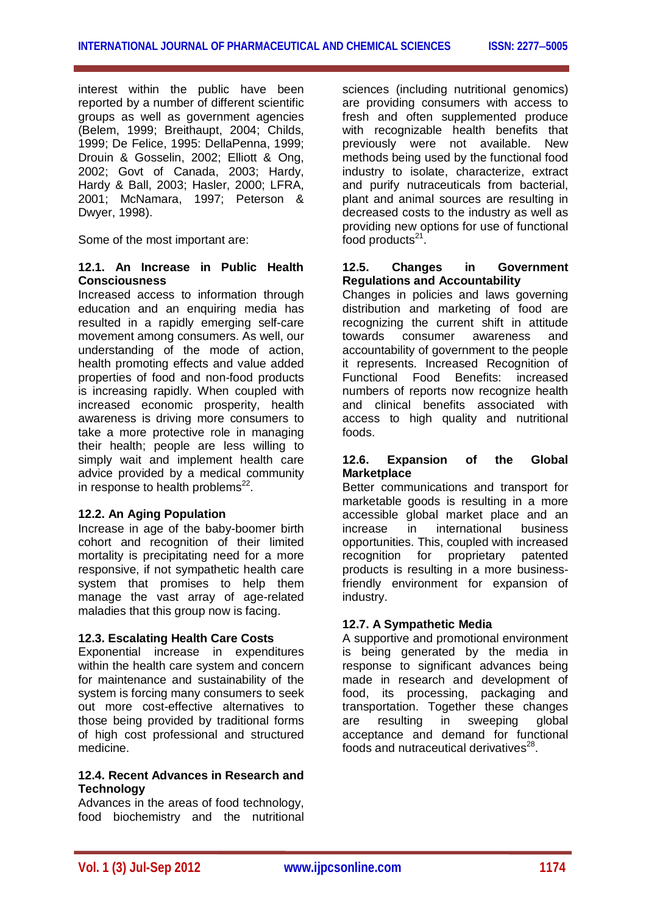interest within the public have been reported by a number of different scientific groups as well as government agencies (Belem, 1999; Breithaupt, 2004; Childs, 1999; De Felice, 1995: DellaPenna, 1999; Drouin & Gosselin, 2002; Elliott & Ong, 2002; Govt of Canada, 2003; Hardy, Hardy & Ball, 2003; Hasler, 2000; LFRA, 2001; McNamara, 1997; Peterson & Dwyer, 1998).

Some of the most important are:

#### **12.1. An Increase in Public Health Consciousness**

Increased access to information through education and an enquiring media has resulted in a rapidly emerging self-care movement among consumers. As well, our understanding of the mode of action, health promoting effects and value added properties of food and non-food products is increasing rapidly. When coupled with increased economic prosperity, health awareness is driving more consumers to take a more protective role in managing their health; people are less willing to simply wait and implement health care advice provided by a medical community in response to health problems $^{22}$ .

## **12.2. An Aging Population**

Increase in age of the baby-boomer birth cohort and recognition of their limited mortality is precipitating need for a more responsive, if not sympathetic health care system that promises to help them manage the vast array of age-related maladies that this group now is facing.

## **12.3. Escalating Health Care Costs**

Exponential increase in expenditures within the health care system and concern for maintenance and sustainability of the system is forcing many consumers to seek out more cost-effective alternatives to those being provided by traditional forms of high cost professional and structured medicine.

### **12.4. Recent Advances in Research and Technology**

Advances in the areas of food technology, food biochemistry and the nutritional sciences (including nutritional genomics) are providing consumers with access to fresh and often supplemented produce with recognizable health benefits that previously were not available. New methods being used by the functional food industry to isolate, characterize, extract and purify nutraceuticals from bacterial, plant and animal sources are resulting in decreased costs to the industry as well as providing new options for use of functional food products $21$ .

#### **12.5. Changes in Government Regulations and Accountability**

Changes in policies and laws governing distribution and marketing of food are recognizing the current shift in attitude towards consumer awareness and accountability of government to the people it represents. Increased Recognition of Functional Food Benefits: increased numbers of reports now recognize health and clinical benefits associated with access to high quality and nutritional foods.

#### **12.6. Expansion of the Global Marketplace**

Better communications and transport for marketable goods is resulting in a more accessible global market place and an increase in international business opportunities. This, coupled with increased recognition for proprietary patented products is resulting in a more businessfriendly environment for expansion of industry.

## **12.7. A Sympathetic Media**

A supportive and promotional environment is being generated by the media in response to significant advances being made in research and development of food, its processing, packaging and transportation. Together these changes are resulting in sweeping global acceptance and demand for functional foods and nutraceutical derivatives $^{28}$ .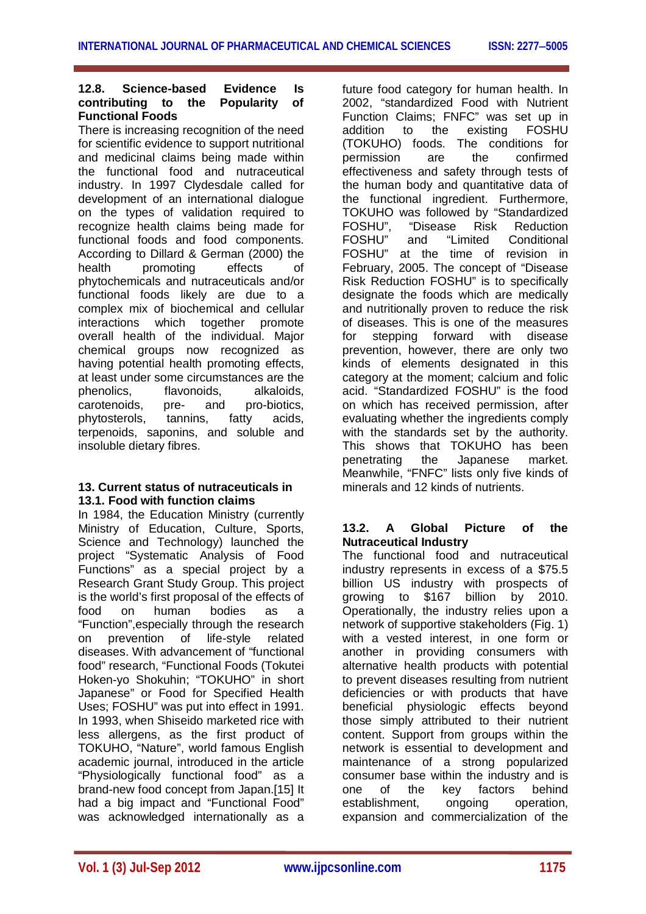## **12.8. Science-based Evidence Is contributing to the Popularity of Functional Foods**

There is increasing recognition of the need for scientific evidence to support nutritional and medicinal claims being made within the functional food and nutraceutical industry. In 1997 Clydesdale called for development of an international dialogue on the types of validation required to recognize health claims being made for functional foods and food components. According to Dillard & German (2000) the health promoting effects of phytochemicals and nutraceuticals and/or functional foods likely are due to a complex mix of biochemical and cellular interactions which together promote overall health of the individual. Major chemical groups now recognized as having potential health promoting effects, at least under some circumstances are the phenolics, flavonoids, alkaloids, carotenoids, pre- and pro-biotics,<br>phytosterols. tannins. fatty acids, phytosterols, tannins, fatty acids, terpenoids, saponins, and soluble and insoluble dietary fibres.

### **13. Current status of nutraceuticals in 13.1. Food with function claims**

In 1984, the Education Ministry (currently Ministry of Education, Culture, Sports, Science and Technology) launched the project "Systematic Analysis of Food Functions" as a special project by a Research Grant Study Group. This project is the world's first proposal of the effects of<br>food on human bodies as a on human bodies as a "Function",especially through the research on prevention of life-style related diseases. With advancement of "functional food" research, "Functional Foods (Tokutei Hoken-yo Shokuhin; "TOKUHO" in short Japanese" or Food for Specified Health Uses; FOSHU" was put into effect in 1991. In 1993, when Shiseido marketed rice with less allergens, as the first product of TOKUHO, "Nature", world famous English academic journal, introduced in the article "Physiologically functional food" as a brand-new food concept from Japan.[15] It had a big impact and "Functional Food" was acknowledged internationally as a

future food category for human health. In 2002, "standardized Food with Nutrient Function Claims; FNFC" was set up in addition to the existing FOSHU (TOKUHO) foods. The conditions for permission are the confirmed effectiveness and safety through tests of the human body and quantitative data of the functional ingredient. Furthermore, TOKUHO was followed by "Standardized<br>FOSHU" "Disease Risk Reduction "Disease Risk Reduction<br>and "Limited Conditional FOSHU" and "Limited Conditional FOSHU" at the time of revision in February, 2005. The concept of "Disease Risk Reduction FOSHU" is to specifically designate the foods which are medically and nutritionally proven to reduce the risk of diseases. This is one of the measures for stepping forward with disease prevention, however, there are only two kinds of elements designated in this category at the moment; calcium and folic acid. "Standardized FOSHU" is the food on which has received permission, after evaluating whether the ingredients comply with the standards set by the authority. This shows that TOKUHO has been penetrating the Japanese market. Meanwhile, "FNFC" lists only five kinds of minerals and 12 kinds of nutrients.

## **13.2. A Global Picture of the Nutraceutical Industry**

The functional food and nutraceutical industry represents in excess of a \$75.5 billion US industry with prospects of growing to \$167 billion by 2010. Operationally, the industry relies upon a network of supportive stakeholders (Fig. 1) with a vested interest, in one form or another in providing consumers with alternative health products with potential to prevent diseases resulting from nutrient deficiencies or with products that have beneficial physiologic effects beyond those simply attributed to their nutrient content. Support from groups within the network is essential to development and maintenance of a strong popularized consumer base within the industry and is one of the key factors behind establishment, ongoing operation, expansion and commercialization of the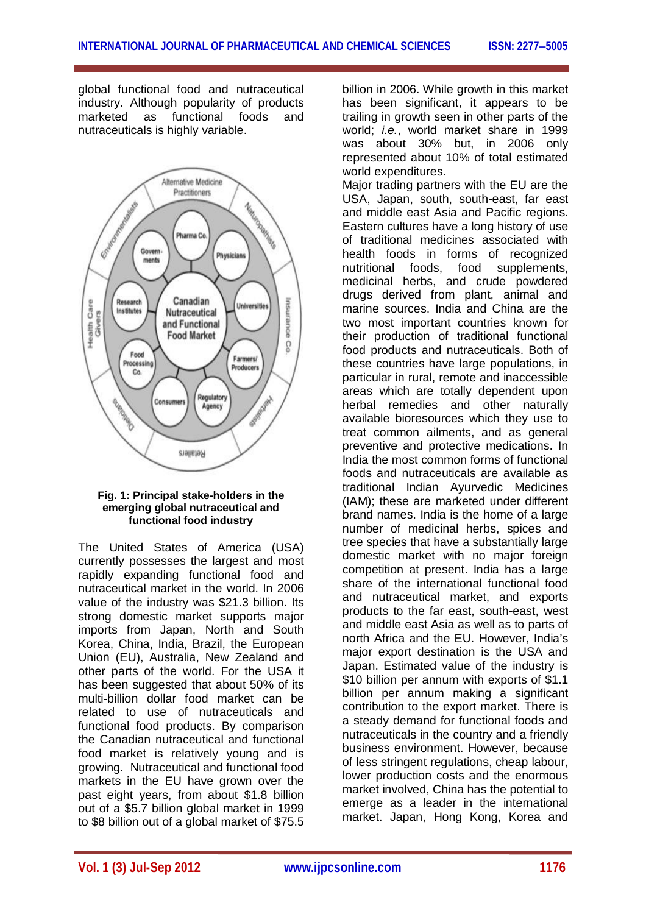global functional food and nutraceutical industry. Although popularity of products marketed as functional foods and nutraceuticals is highly variable.



#### **Fig. 1: Principal stake-holders in the emerging global nutraceutical and functional food industry**

The United States of America (USA) currently possesses the largest and most rapidly expanding functional food and nutraceutical market in the world. In 2006 value of the industry was \$21.3 billion. Its strong domestic market supports major imports from Japan, North and South Korea, China, India, Brazil, the European Union (EU), Australia, New Zealand and other parts of the world. For the USA it has been suggested that about 50% of its multi-billion dollar food market can be related to use of nutraceuticals and functional food products. By comparison the Canadian nutraceutical and functional food market is relatively young and is growing. Nutraceutical and functional food markets in the EU have grown over the past eight years, from about \$1.8 billion out of a \$5.7 billion global market in 1999 to \$8 billion out of a global market of \$75.5

billion in 2006. While growth in this market has been significant, it appears to be trailing in growth seen in other parts of the world; *i.e.*, world market share in 1999 was about 30% but, in 2006 only represented about 10% of total estimated world expenditures.

Major trading partners with the EU are the USA, Japan, south, south-east, far east and middle east Asia and Pacific regions. Eastern cultures have a long history of use of traditional medicines associated with health foods in forms of recognized<br>nutritional foods, food supplements. nutritional foods, food supplements, medicinal herbs, and crude powdered drugs derived from plant, animal and marine sources. India and China are the two most important countries known for their production of traditional functional food products and nutraceuticals. Both of these countries have large populations, in particular in rural, remote and inaccessible areas which are totally dependent upon herbal remedies and other naturally available bioresources which they use to treat common ailments, and as general preventive and protective medications. In India the most common forms of functional foods and nutraceuticals are available as traditional Indian Ayurvedic Medicines (IAM); these are marketed under different brand names. India is the home of a large number of medicinal herbs, spices and tree species that have a substantially large domestic market with no major foreign competition at present. India has a large share of the international functional food and nutraceutical market, and exports products to the far east, south-east, west and middle east Asia as well as to parts of north Africa and the EU. However, India's major export destination is the USA and Japan. Estimated value of the industry is \$10 billion per annum with exports of \$1.1 billion per annum making a significant contribution to the export market. There is a steady demand for functional foods and nutraceuticals in the country and a friendly business environment. However, because of less stringent regulations, cheap labour, lower production costs and the enormous market involved, China has the potential to emerge as a leader in the international market. Japan, Hong Kong, Korea and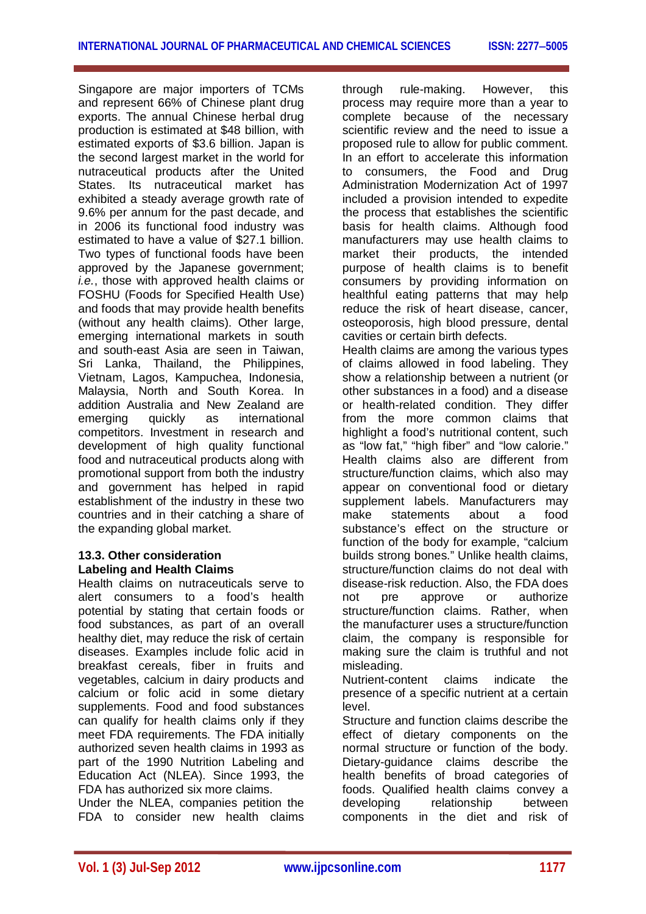Singapore are major importers of TCMs and represent 66% of Chinese plant drug exports. The annual Chinese herbal drug production is estimated at \$48 billion, with estimated exports of \$3.6 billion. Japan is the second largest market in the world for nutraceutical products after the United States. Its nutraceutical market has exhibited a steady average growth rate of 9.6% per annum for the past decade, and in 2006 its functional food industry was estimated to have a value of \$27.1 billion. Two types of functional foods have been approved by the Japanese government; *i.e.*, those with approved health claims or FOSHU (Foods for Specified Health Use) and foods that may provide health benefits (without any health claims). Other large, emerging international markets in south and south-east Asia are seen in Taiwan, Sri Lanka, Thailand, the Philippines, Vietnam, Lagos, Kampuchea, Indonesia, Malaysia, North and South Korea. In addition Australia and New Zealand are emerging quickly as international competitors. Investment in research and development of high quality functional food and nutraceutical products along with promotional support from both the industry and government has helped in rapid establishment of the industry in these two countries and in their catching a share of the expanding global market.

## **13.3. Other consideration Labeling and Health Claims**

Health claims on nutraceuticals serve to alert consumers to a food's health potential by stating that certain foods or food substances, as part of an overall healthy diet, may reduce the risk of certain diseases. Examples include folic acid in breakfast cereals, fiber in fruits and vegetables, calcium in dairy products and calcium or folic acid in some dietary supplements. Food and food substances can qualify for health claims only if they meet FDA requirements. The FDA initially authorized seven health claims in 1993 as part of the 1990 Nutrition Labeling and Education Act (NLEA). Since 1993, the FDA has authorized six more claims.

Under the NLEA, companies petition the FDA to consider new health claims through rule-making. However, this process may require more than a year to complete because of the necessary scientific review and the need to issue a proposed rule to allow for public comment. In an effort to accelerate this information to consumers, the Food and Drug Administration Modernization Act of 1997 included a provision intended to expedite the process that establishes the scientific basis for health claims. Although food manufacturers may use health claims to market their products, the intended purpose of health claims is to benefit consumers by providing information on healthful eating patterns that may help reduce the risk of heart disease, cancer, osteoporosis, high blood pressure, dental cavities or certain birth defects.

Health claims are among the various types of claims allowed in food labeling. They show a relationship between a nutrient (or other substances in a food) and a disease or health-related condition. They differ from the more common claims that highlight a food's nutritional content, such as "low fat," "high fiber" and "low calorie." Health claims also are different from structure/function claims, which also may appear on conventional food or dietary supplement labels. Manufacturers may make statements about a food substance's effect on the structure or function of the body for example, "calcium builds strong bones." Unlike health claims, structure/function claims do not deal with disease-risk reduction. Also, the FDA does not pre approve or authorize structure/function claims. Rather, when the manufacturer uses a structure/function claim, the company is responsible for making sure the claim is truthful and not misleading.

Nutrient-content claims indicate the presence of a specific nutrient at a certain level.

Structure and function claims describe the effect of dietary components on the normal structure or function of the body. Dietary-guidance claims describe the health benefits of broad categories of foods. Qualified health claims convey a developing relationship between components in the diet and risk of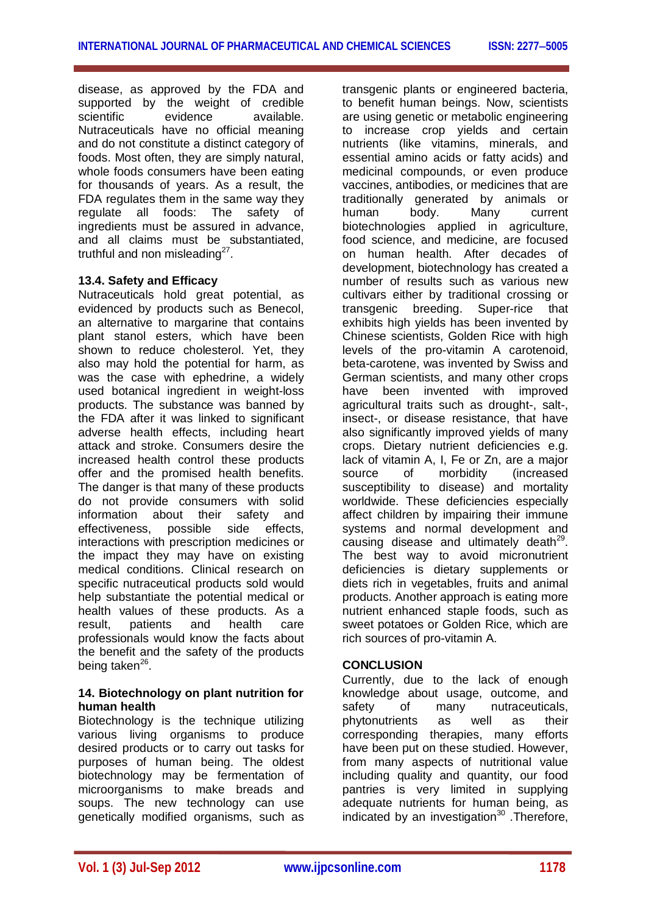disease, as approved by the FDA and supported by the weight of credible scientific evidence available Nutraceuticals have no official meaning and do not constitute a distinct category of foods. Most often, they are simply natural, whole foods consumers have been eating for thousands of years. As a result, the FDA regulates them in the same way they regulate all foods: The safety of ingredients must be assured in advance, and all claims must be substantiated, truthful and non misleading $^{27}$ .

## **13.4. Safety and Efficacy**

Nutraceuticals hold great potential, as evidenced by products such as Benecol, an alternative to margarine that contains plant stanol esters, which have been shown to reduce cholesterol. Yet, they also may hold the potential for harm, as was the case with ephedrine, a widely used botanical ingredient in weight-loss products. The substance was banned by the FDA after it was linked to significant adverse health effects, including heart attack and stroke. Consumers desire the increased health control these products offer and the promised health benefits. The danger is that many of these products do not provide consumers with solid information about their safety and effectiveness, possible side effects, interactions with prescription medicines or the impact they may have on existing medical conditions. Clinical research on specific nutraceutical products sold would help substantiate the potential medical or health values of these products. As a result, patients and health care professionals would know the facts about the benefit and the safety of the products being taken<sup>26</sup>.

### **14. Biotechnology on plant nutrition for human health**

Biotechnology is the technique utilizing various living organisms to produce desired products or to carry out tasks for purposes of human being. The oldest biotechnology may be fermentation of microorganisms to make breads and soups. The new technology can use genetically modified organisms, such as

transgenic plants or engineered bacteria, to benefit human beings. Now, scientists are using genetic or metabolic engineering to increase crop yields and certain nutrients (like vitamins, minerals, and essential amino acids or fatty acids) and medicinal compounds, or even produce vaccines, antibodies, or medicines that are traditionally generated by animals or human body. Many current biotechnologies applied in agriculture, food science, and medicine, are focused on human health. After decades of development, biotechnology has created a number of results such as various new cultivars either by traditional crossing or transgenic breeding. Super-rice that exhibits high yields has been invented by Chinese scientists, Golden Rice with high levels of the pro-vitamin A carotenoid, beta-carotene, was invented by Swiss and German scientists, and many other crops have been invented with improved agricultural traits such as drought-, salt-, insect-, or disease resistance, that have also significantly improved yields of many crops. Dietary nutrient deficiencies e.g. lack of vitamin A, I, Fe or Zn, are a major source of morbidity (increased susceptibility to disease) and mortality worldwide. These deficiencies especially affect children by impairing their immune systems and normal development and causing disease and ultimately death $^{29}$ . The best way to avoid micronutrient deficiencies is dietary supplements or diets rich in vegetables, fruits and animal products. Another approach is eating more nutrient enhanced staple foods, such as sweet potatoes or Golden Rice, which are rich sources of pro-vitamin A.

## **CONCLUSION**

Currently, due to the lack of enough knowledge about usage, outcome, and safety of many nutraceuticals, phytonutrients as well as their corresponding therapies, many efforts have been put on these studied. However, from many aspects of nutritional value including quality and quantity, our food pantries is very limited in supplying adequate nutrients for human being, as indicated by an investigation<sup>30</sup>. Therefore,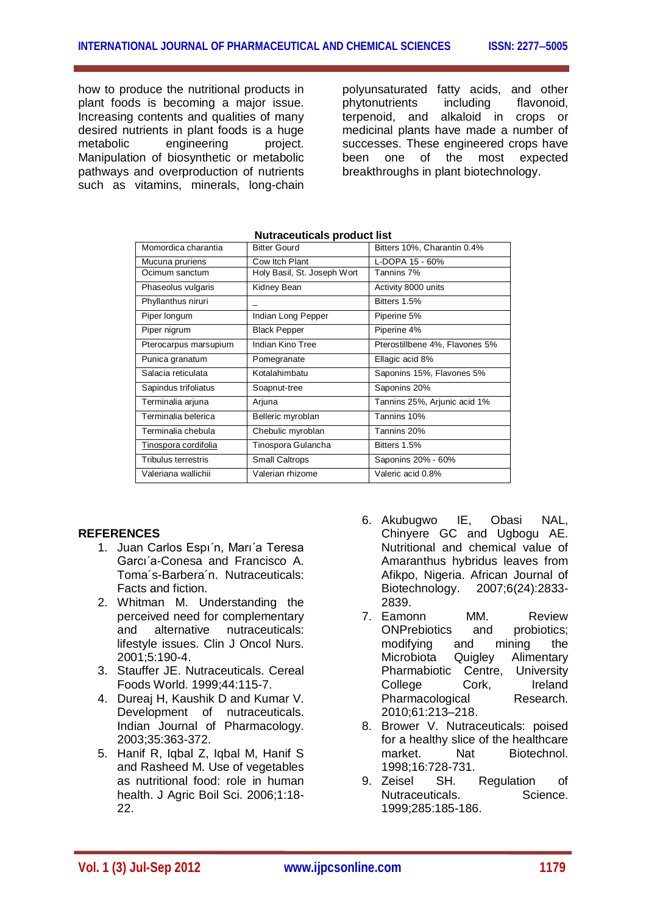how to produce the nutritional products in plant foods is becoming a major issue. Increasing contents and qualities of many desired nutrients in plant foods is a huge metabolic engineering project. Manipulation of biosynthetic or metabolic pathways and overproduction of nutrients such as vitamins, minerals, long-chain

polyunsaturated fatty acids, and other phytonutrients including flavonoid, terpenoid, and alkaloid in crops or medicinal plants have made a number of successes. These engineered crops have been one of the most expected breakthroughs in plant biotechnology.

| nuudoouutodis produot iist |                             |                                |
|----------------------------|-----------------------------|--------------------------------|
| Momordica charantia        | <b>Bitter Gourd</b>         | Bitters 10%, Charantin 0.4%    |
| Mucuna pruriens            | Cow Itch Plant              | L-DOPA 15 - 60%                |
| Ocimum sanctum             | Holy Basil, St. Joseph Wort | Tannins 7%                     |
| Phaseolus vulgaris         | Kidney Bean                 | Activity 8000 units            |
| Phyllanthus niruri         |                             | Bitters 1.5%                   |
| Piper longum               | Indian Long Pepper          | Piperine 5%                    |
| Piper nigrum               | Black Pepper                | Piperine 4%                    |
| Pterocarpus marsupium      | Indian Kino Tree            | Pterostillbene 4%, Flavones 5% |
| Punica granatum            | Pomegranate                 | Ellagic acid 8%                |
| Salacia reticulata         | Kotalahimbatu               | Saponins 15%, Flavones 5%      |
| Sapindus trifoliatus       | Soapnut-tree                | Saponins 20%                   |
| Terminalia arjuna          | Arjuna                      | Tannins 25%, Arjunic acid 1%   |
| Terminalia belerica        | Belleric myroblan           | Tannins 10%                    |
| Terminalia chebula         | Chebulic myroblan           | Tannins 20%                    |
| Tinospora cordifolia       | Tinospora Gulancha          | Bitters 1.5%                   |
| Tribulus terrestris        | <b>Small Caltrops</b>       | Saponins 20% - 60%             |
| Valeriana wallichii        | Valerian rhizome            | Valeric acid 0.8%              |
|                            |                             |                                |

#### **Nutraceuticals product list**

#### **REFERENCES**

- 1. Juan Carlos Espı´n, Marı´a Teresa Garcı´a-Conesa and Francisco A. Toma´s-Barbera´n. Nutraceuticals: Facts and fiction.
- 2. Whitman M. Understanding the perceived need for complementary and alternative nutraceuticals: lifestyle issues. Clin J Oncol Nurs. 2001;5:190-4.
- 3. Stauffer JE. Nutraceuticals. Cereal Foods World. 1999;44:115-7.
- 4. Dureaj H, Kaushik D and Kumar V. Development of nutraceuticals. Indian Journal of Pharmacology. 2003;35:363-372.
- 5. Hanif R, Iqbal Z, Iqbal M, Hanif S and Rasheed M. Use of vegetables as nutritional food: role in human health. J Agric Boil Sci. 2006;1:18- 22.
- 6. Akubugwo IE, Obasi NAL, Chinyere GC and Ugbogu AE. Nutritional and chemical value of Amaranthus hybridus leaves from Afikpo, Nigeria. African Journal of Biotechnology. 2007;6(24):2833- 2839.
- 7. Eamonn MM. Review ONPrebiotics and probiotics; modifying and mining the Microbiota Quigley Alimentary Pharmabiotic Centre, University College Cork, Ireland Pharmacological Research. 2010;61:213–218.
- 8. Brower V. Nutraceuticals: poised for a healthy slice of the healthcare market. Nat Biotechnol. 1998;16:728-731.
- 9. Zeisel SH. Regulation of Nutraceuticals. Science. 1999;285:185-186.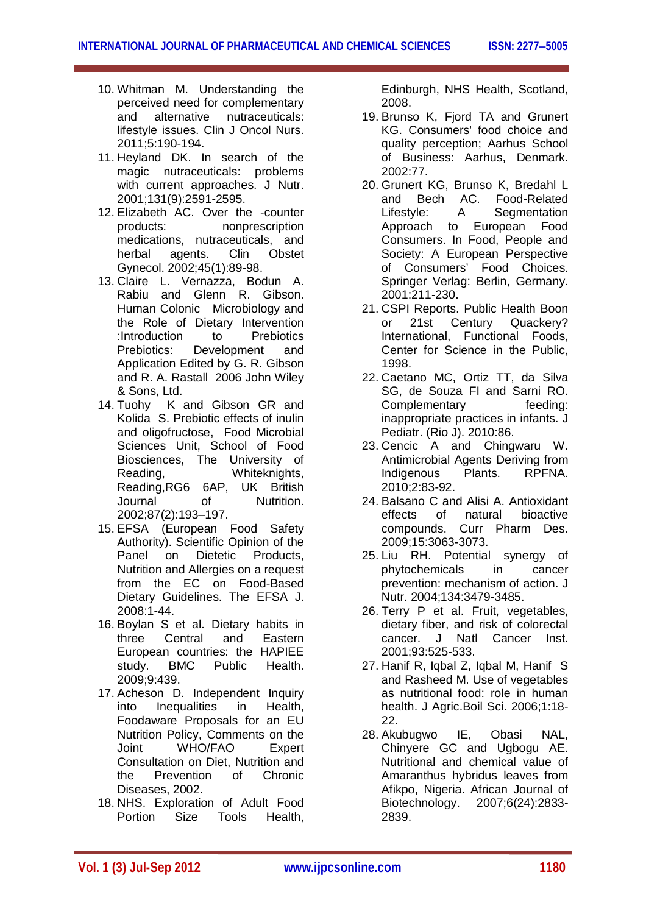- 10. Whitman M. Understanding the perceived need for complementary and alternative nutraceuticals: lifestyle issues. Clin J Oncol Nurs. 2011;5:190-194.
- 11. Heyland DK. In search of the magic nutraceuticals: problems with current approaches. J Nutr. 2001;131(9):2591-2595.
- 12. Elizabeth AC. Over the -counter products: nonprescription medications, nutraceuticals, and herbal agents. Clin Obstet Gynecol. 2002;45(1):89-98.
- 13. Claire L. Vernazza, Bodun A. Rabiu and Glenn R. Gibson. Human Colonic Microbiology and the Role of Dietary Intervention :Introduction to Prebiotics Prebiotics: Development and Application Edited by G. R. Gibson and R. A. Rastall 2006 John Wiley & Sons, Ltd.
- 14. Tuohy K and Gibson GR and Kolida S. Prebiotic effects of inulin and oligofructose, Food Microbial Sciences Unit, School of Food Biosciences, The University of Reading, Whiteknights, Reading,RG6 6AP, UK British Journal of Nutrition. 2002;87(2):193–197.
- 15. EFSA (European Food Safety Authority). Scientific Opinion of the Panel on Dietetic Products, Nutrition and Allergies on a request from the EC on Food-Based Dietary Guidelines. The EFSA J. 2008:1-44.
- 16. Boylan S et al. Dietary habits in three Central and Eastern European countries: the HAPIEE study. BMC Public Health. 2009;9:439.
- 17. Acheson D. Independent Inquiry into Inequalities in Health, Foodaware Proposals for an EU Nutrition Policy, Comments on the Joint WHO/FAO Expert Consultation on Diet, Nutrition and the Prevention of Chronic Diseases, 2002.
- 18. NHS. Exploration of Adult Food Portion Size Tools Health,

Edinburgh, NHS Health, Scotland, 2008.

- 19. Brunso K. Fiord TA and Grunert KG. Consumers' food choice and quality perception; Aarhus School of Business: Aarhus, Denmark. 2002:77.
- 20. Grunert KG, Brunso K, Bredahl L and Bech AC. Food-Related Lifestyle: A Segmentation Approach to European Food Consumers. In Food, People and Society: A European Perspective of Consumers' Food Choices. Springer Verlag: Berlin, Germany. 2001:211-230.
- 21. CSPI Reports. Public Health Boon or 21st Century Quackery? International, Functional Foods, Center for Science in the Public, 1998.
- 22. Caetano MC, Ortiz TT, da Silva SG, de Souza FI and Sarni RO. Complementary feeding: inappropriate practices in infants. J Pediatr. (Rio J). 2010:86.
- 23. Cencic A and Chingwaru W. Antimicrobial Agents Deriving from Indigenous Plants. RPFNA. 2010;2:83-92.
- 24. Balsano C and Alisi A. Antioxidant effects of natural bioactive compounds. Curr Pharm Des. 2009;15:3063-3073.
- 25. Liu RH. Potential synergy of phytochemicals in cancer prevention: mechanism of action. J Nutr. 2004;134:3479-3485.
- 26. Terry P et al. Fruit, vegetables, dietary fiber, and risk of colorectal cancer. J Natl Cancer Inst. 2001;93:525-533.
- 27. Hanif R, Iqbal Z, Iqbal M, Hanif S and Rasheed M. Use of vegetables as nutritional food: role in human health. J Agric.Boil Sci. 2006;1:18- 22.
- 28. Akubugwo IE, Obasi NAL, Chinyere GC and Ugbogu AE. Nutritional and chemical value of Amaranthus hybridus leaves from Afikpo, Nigeria. African Journal of Biotechnology. 2007;6(24):2833- 2839.